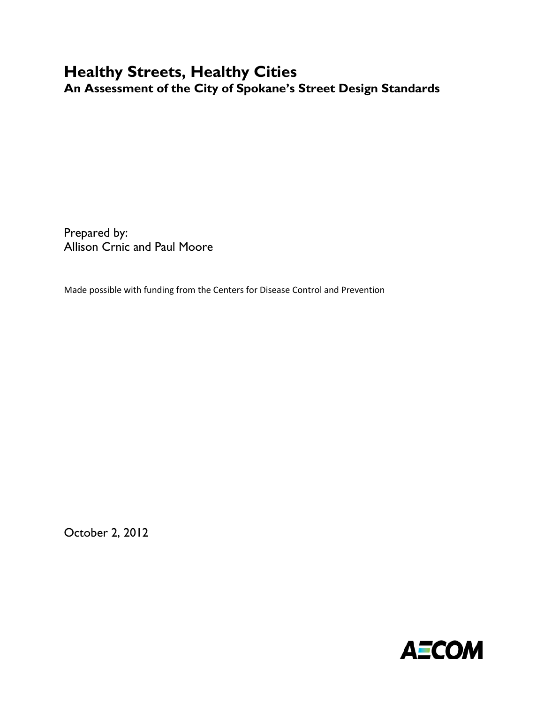# **Healthy Streets, Healthy Cities An Assessment of the City of Spokane's Street Design Standards**

Prepared by: Allison Crnic and Paul Moore

Made possible with funding from the Centers for Disease Control and Prevention

<span id="page-0-0"></span>October 2, 2012

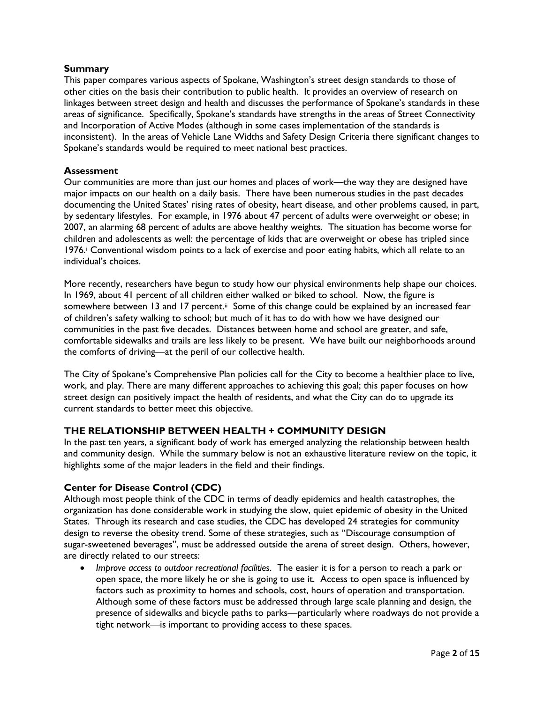# **Summary**

This paper compares various aspects of Spokane, Washington's street design standards to those of other cities on the basis their contribution to public health. It provides an overview of research on linkages between street design and health and discusses the performance of Spokane's standards in these areas of significance. Specifically, Spokane's standards have strengths in the areas of Street Connectivity and Incorporation of Active Modes (although in some cases implementation of the standards is inconsistent). In the areas of Vehicle Lane Widths and Safety Design Criteria there significant changes to Spokane's standards would be required to meet national best practices.

# **Assessment**

Our communities are more than just our homes and places of work—the way they are designed have major impacts on our health on a daily basis. There have been numerous studies in the past decades documenting the United States' rising rates of obesity, heart disease, and other problems caused, in part, by sedentary lifestyles. For example, in 1976 about 47 percent of adults were overweight or obese; in 2007, an alarming 68 percent of adults are above healthy weights. The situation has become worse for children and adolescents as well: the percentage of kids that are overweight or obese has tripled since 1976. Convent[i](#page-7-0)onal wisdom points to a lack of exercise and poor eating habits, which all relate to an individual's choices.

More recently, researchers have begun to study how our physical environments help shape our choices. In 1969, about 41 percent of all children either walked or biked to school. Now, the figure is somewhere between 13 and 17 percent.<sup>[ii](#page-7-1)</sup> Some of this change could be explained by an increased fear of children's safety walking to school; but much of it has to do with how we have designed our communities in the past five decades. Distances between home and school are greater, and safe, comfortable sidewalks and trails are less likely to be present. We have built our neighborhoods around the comforts of driving—at the peril of our collective health.

The City of Spokane's Comprehensive Plan policies call for the City to become a healthier place to live, work, and play. There are many different approaches to achieving this goal; this paper focuses on how street design can positively impact the health of residents, and what the City can do to upgrade its current standards to better meet this objective.

# **THE RELATIONSHIP BETWEEN HEALTH + COMMUNITY DESIGN**

In the past ten years, a significant body of work has emerged analyzing the relationship between health and community design. While the summary below is not an exhaustive literature review on the topic, it highlights some of the major leaders in the field and their findings.

## **Center for Disease Control (CDC)**

Although most people think of the CDC in terms of deadly epidemics and health catastrophes, the organization has done considerable work in studying the slow, quiet epidemic of obesity in the United States. Through its research and case studies, the CDC has developed 24 strategies for community design to reverse the obesity trend. Some of these strategies, such as "Discourage consumption of sugar-sweetened beverages", must be addressed outside the arena of street design. Others, however, are directly related to our streets:

• *Improve access to outdoor recreational facilities*. The easier it is for a person to reach a park or open space, the more likely he or she is going to use it. Access to open space is influenced by factors such as proximity to homes and schools, cost, hours of operation and transportation. Although some of these factors must be addressed through large scale planning and design, the presence of sidewalks and bicycle paths to parks—particularly where roadways do not provide a tight network—is important to providing access to these spaces.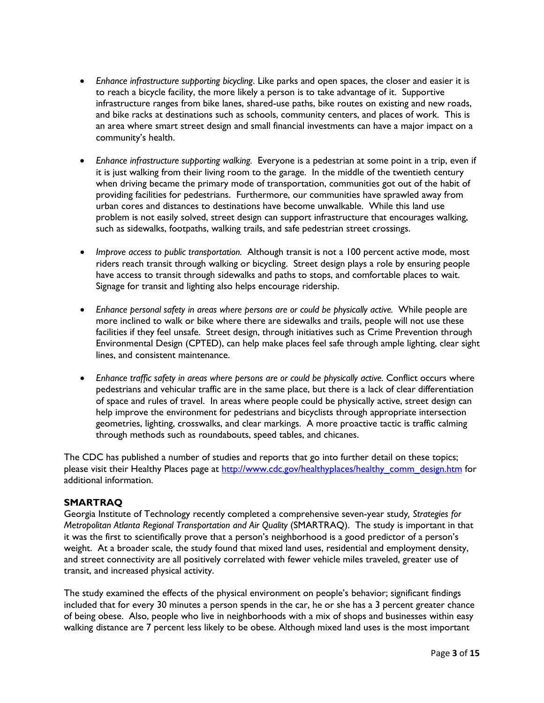- *Enhance infrastructure supporting bicycling*. Like parks and open spaces, the closer and easier it is to reach a bicycle facility, the more likely a person is to take advantage of it. Supportive infrastructure ranges from bike lanes, shared-use paths, bike routes on existing and new roads, and bike racks at destinations such as schools, community centers, and places of work. This is an area where smart street design and small financial investments can have a major impact on a community's health.
- *Enhance infrastructure supporting walking.* Everyone is a pedestrian at some point in a trip, even if it is just walking from their living room to the garage. In the middle of the twentieth century when driving became the primary mode of transportation, communities got out of the habit of providing facilities for pedestrians. Furthermore, our communities have sprawled away from urban cores and distances to destinations have become unwalkable. While this land use problem is not easily solved, street design can support infrastructure that encourages walking, such as sidewalks, footpaths, walking trails, and safe pedestrian street crossings.
- *Improve access to public transportation.* Although transit is not a 100 percent active mode, most riders reach transit through walking or bicycling. Street design plays a role by ensuring people have access to transit through sidewalks and paths to stops, and comfortable places to wait. Signage for transit and lighting also helps encourage ridership.
- Enhance personal safety in areas where persons are or could be physically active. While people are more inclined to walk or bike where there are sidewalks and trails, people will not use these facilities if they feel unsafe. Street design, through initiatives such as Crime Prevention through Environmental Design (CPTED), can help make places feel safe through ample lighting, clear sight lines, and consistent maintenance.
- *Enhance traffic safety in areas where persons are or could be physically active.* Conflict occurs where pedestrians and vehicular traffic are in the same place, but there is a lack of clear differentiation of space and rules of travel. In areas where people could be physically active, street design can help improve the environment for pedestrians and bicyclists through appropriate intersection geometries, lighting, crosswalks, and clear markings. A more proactive tactic is traffic calming through methods such as roundabouts, speed tables, and chicanes.

The CDC has published a number of studies and reports that go into further detail on these topics; please visit their Healthy Places page at [http://www.cdc.gov/healthyplaces/healthy\\_comm\\_design.htm](http://www.cdc.gov/healthyplaces/healthy_comm_design.htm) for additional information.

## **SMARTRAQ**

Georgia Institute of Technology recently completed a comprehensive seven-year study*, Strategies for Metropolitan Atlanta Regional Transportation and Air Quality* (SMARTRAQ). The study is important in that it was the first to scientifically prove that a person's neighborhood is a good predictor of a person's weight. At a broader scale, the study found that mixed land uses, residential and employment density, and street connectivity are all positively correlated with fewer vehicle miles traveled, greater use of transit, and increased physical activity.

The study examined the effects of the physical environment on people's behavior; significant findings included that for every 30 minutes a person spends in the car, he or she has a 3 percent greater chance of being obese. Also, people who live in neighborhoods with a mix of shops and businesses within easy walking distance are 7 percent less likely to be obese. Although mixed land uses is the most important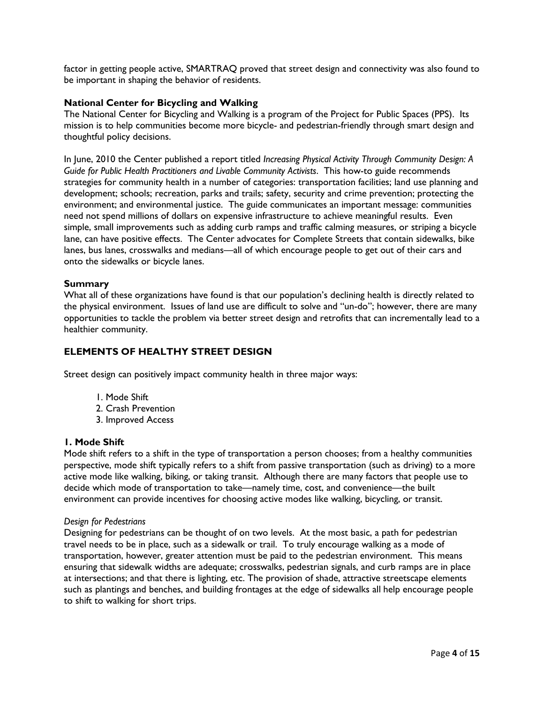factor in getting people active, SMARTRAQ proved that street design and connectivity was also found to be important in shaping the behavior of residents.

# **National Center for Bicycling and Walking**

The National Center for Bicycling and Walking is a program of the Project for Public Spaces (PPS). Its mission is to help communities become more bicycle- and pedestrian-friendly through smart design and thoughtful policy decisions.

In June, 2010 the Center published a report titled *Increasing Physical Activity Through Community Design: A Guide for Public Health Practitioners and Livable Community Activists*. This how-to guide recommends strategies for community health in a number of categories: transportation facilities; land use planning and development; schools; recreation, parks and trails; safety, security and crime prevention; protecting the environment; and environmental justice. The guide communicates an important message: communities need not spend millions of dollars on expensive infrastructure to achieve meaningful results. Even simple, small improvements such as adding curb ramps and traffic calming measures, or striping a bicycle lane, can have positive effects. The Center advocates for Complete Streets that contain sidewalks, bike lanes, bus lanes, crosswalks and medians—all of which encourage people to get out of their cars and onto the sidewalks or bicycle lanes.

## **Summary**

What all of these organizations have found is that our population's declining health is directly related to the physical environment. Issues of land use are difficult to solve and "un-do"; however, there are many opportunities to tackle the problem via better street design and retrofits that can incrementally lead to a healthier community.

# **ELEMENTS OF HEALTHY STREET DESIGN**

Street design can positively impact community health in three major ways:

- 1. Mode Shift
- 2. Crash Prevention
- 3. Improved Access

#### **1. Mode Shift**

Mode shift refers to a shift in the type of transportation a person chooses; from a healthy communities perspective, mode shift typically refers to a shift from passive transportation (such as driving) to a more active mode like walking, biking, or taking transit. Although there are many factors that people use to decide which mode of transportation to take—namely time, cost, and convenience—the built environment can provide incentives for choosing active modes like walking, bicycling, or transit.

#### *Design for Pedestrians*

Designing for pedestrians can be thought of on two levels. At the most basic, a path for pedestrian travel needs to be in place, such as a sidewalk or trail. To truly encourage walking as a mode of transportation, however, greater attention must be paid to the pedestrian environment. This means ensuring that sidewalk widths are adequate; crosswalks, pedestrian signals, and curb ramps are in place at intersections; and that there is lighting, etc. The provision of shade, attractive streetscape elements such as plantings and benches, and building frontages at the edge of sidewalks all help encourage people to shift to walking for short trips.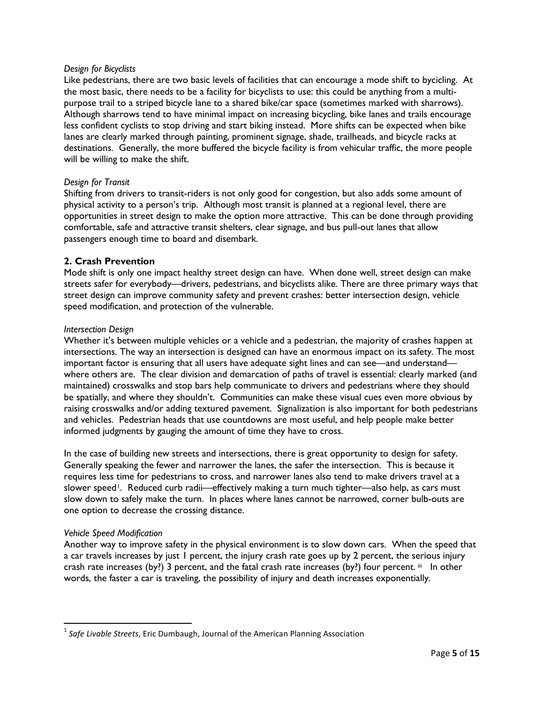#### *Design for Bicyclists*

Like pedestrians, there are two basic levels of facilities that can encourage a mode shift to bycicling. At the most basic, there needs to be a facility for bicyclists to use: this could be anything from a multipurpose trail to a striped bicycle lane to a shared bike/car space (sometimes marked with sharrows). Although sharrows tend to have minimal impact on increasing bicycling, bike lanes and trails encourage less confident cyclists to stop driving and start biking instead. More shifts can be expected when bike lanes are clearly marked through painting, prominent signage, shade, trailheads, and bicycle racks at destinations. Generally, the more buffered the bicycle facility is from vehicular traffic, the more people will be willing to make the shift.

## *Design for Transit*

Shifting from drivers to transit-riders is not only good for congestion, but also adds some amount of physical activity to a person's trip. Although most transit is planned at a regional level, there are opportunities in street design to make the option more attractive. This can be done through providing comfortable, safe and attractive transit shelters, clear signage, and bus pull-out lanes that allow passengers enough time to board and disembark.

#### **2. Crash Prevention**

Mode shift is only one impact healthy street design can have. When done well, street design can make streets safer for everybody—drivers, pedestrians, and bicyclists alike. There are three primary ways that street design can improve community safety and prevent crashes: better intersection design, vehicle speed modification, and protection of the vulnerable.

#### *Intersection Design*

Whether it's between multiple vehicles or a vehicle and a pedestrian, the majority of crashes happen at intersections. The way an intersection is designed can have an enormous impact on its safety. The most important factor is ensuring that all users have adequate sight lines and can see—and understand where others are. The clear division and demarcation of paths of travel is essential: clearly marked (and maintained) crosswalks and stop bars help communicate to drivers and pedestrians where they should be spatially, and where they shouldn't. Communities can make these visual cues even more obvious by raising crosswalks and/or adding textured pavement. Signalization is also important for both pedestrians and vehicles. Pedestrian heads that use countdowns are most useful, and help people make better informed judgments by gauging the amount of time they have to cross.

In the case of building new streets and intersections, there is great opportunity to design for safety. Generally speaking the fewer and narrower the lanes, the safer the intersection. This is because it requires less time for pedestrians to cross, and narrower lanes also tend to make drivers travel at a slower speed<sup>[1](#page-0-0)</sup>. Reduced curb radii—effectively making a turn much tighter—also help, as cars must slow down to safely make the turn. In places where lanes cannot be narrowed, corner bulb-outs are one option to decrease the crossing distance.

#### *Vehicle Speed Modification*

Another way to improve safety in the physical environment is to slow down cars. When the speed that a car travels increases by just 1 percent, the injury crash rate goes up by 2 percent, the serious injury crash rate increases (by?) 3 percent, and the fatal crash rate increases (by?) four percent. [iii](#page-7-2) In other words, the faster a car is traveling, the possibility of injury and death increases exponentially.

 <sup>1</sup> *Safe Livable Streets*, Eric Dumbaugh, Journal of the American Planning Association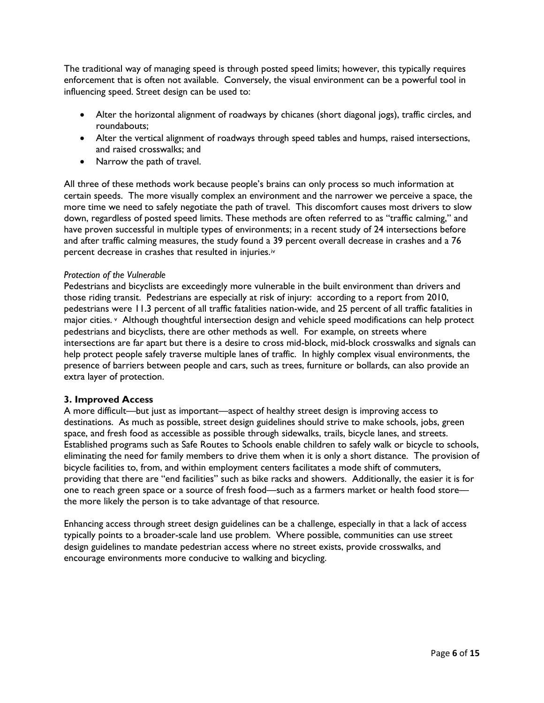The traditional way of managing speed is through posted speed limits; however, this typically requires enforcement that is often not available. Conversely, the visual environment can be a powerful tool in influencing speed. Street design can be used to:

- Alter the horizontal alignment of roadways by chicanes (short diagonal jogs), traffic circles, and roundabouts;
- Alter the vertical alignment of roadways through speed tables and humps, raised intersections, and raised crosswalks; and
- Narrow the path of travel.

All three of these methods work because people's brains can only process so much information at certain speeds. The more visually complex an environment and the narrower we perceive a space, the more time we need to safely negotiate the path of travel. This discomfort causes most drivers to slow down, regardless of posted speed limits. These methods are often referred to as "traffic calming," and have proven successful in multiple types of environments; in a recent study of 24 intersections before and after traffic calming measures, the study found a 39 percent overall decrease in crashes and a 76 percent decrease in crashes that resulted in injuries.[iv](#page-7-3)

#### *Protection of the Vulnerable*

Pedestrians and bicyclists are exceedingly more vulnerable in the built environment than drivers and those riding transit. Pedestrians are especially at risk of injury: according to a report from 2010, pedestrians were 11.3 percent of all traffic fatalities nation-wide, and 25 percent of all traffic fatalities in major cities. [v](#page-7-4) Although thoughtful intersection design and vehicle speed modifications can help protect pedestrians and bicyclists, there are other methods as well. For example, on streets where intersections are far apart but there is a desire to cross mid-block, mid-block crosswalks and signals can help protect people safely traverse multiple lanes of traffic. In highly complex visual environments, the presence of barriers between people and cars, such as trees, furniture or bollards, can also provide an extra layer of protection.

#### **3. Improved Access**

A more difficult—but just as important—aspect of healthy street design is improving access to destinations. As much as possible, street design guidelines should strive to make schools, jobs, green space, and fresh food as accessible as possible through sidewalks, trails, bicycle lanes, and streets. Established programs such as Safe Routes to Schools enable children to safely walk or bicycle to schools, eliminating the need for family members to drive them when it is only a short distance. The provision of bicycle facilities to, from, and within employment centers facilitates a mode shift of commuters, providing that there are "end facilities" such as bike racks and showers. Additionally, the easier it is for one to reach green space or a source of fresh food—such as a farmers market or health food store the more likely the person is to take advantage of that resource.

Enhancing access through street design guidelines can be a challenge, especially in that a lack of access typically points to a broader-scale land use problem. Where possible, communities can use street design guidelines to mandate pedestrian access where no street exists, provide crosswalks, and encourage environments more conducive to walking and bicycling.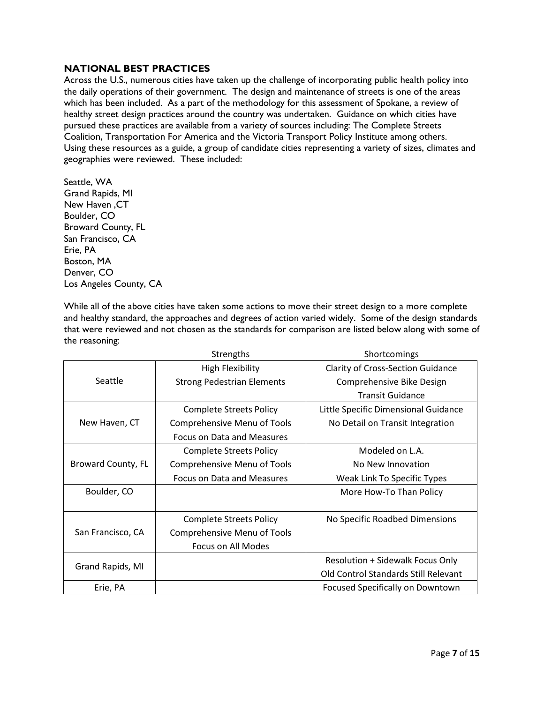# **NATIONAL BEST PRACTICES**

Across the U.S., numerous cities have taken up the challenge of incorporating public health policy into the daily operations of their government. The design and maintenance of streets is one of the areas which has been included. As a part of the methodology for this assessment of Spokane, a review of healthy street design practices around the country was undertaken. Guidance on which cities have pursued these practices are available from a variety of sources including: The Complete Streets Coalition, Transportation For America and the Victoria Transport Policy Institute among others. Using these resources as a guide, a group of candidate cities representing a variety of sizes, climates and geographies were reviewed. These included:

Seattle, WA Grand Rapids, MI New Haven ,CT Boulder, CO Broward County, FL San Francisco, CA Erie, PA Boston, MA Denver, CO Los Angeles County, CA

While all of the above cities have taken some actions to move their street design to a more complete and healthy standard, the approaches and degrees of action varied widely. Some of the design standards that were reviewed and not chosen as the standards for comparison are listed below along with some of the reasoning:

|                    | <b>Strengths</b>                  | Shortcomings                             |  |  |
|--------------------|-----------------------------------|------------------------------------------|--|--|
|                    | <b>High Flexibility</b>           | <b>Clarity of Cross-Section Guidance</b> |  |  |
| Seattle            | <b>Strong Pedestrian Elements</b> | Comprehensive Bike Design                |  |  |
|                    |                                   | <b>Transit Guidance</b>                  |  |  |
|                    | <b>Complete Streets Policy</b>    | Little Specific Dimensional Guidance     |  |  |
| New Haven, CT      | Comprehensive Menu of Tools       | No Detail on Transit Integration         |  |  |
|                    | Focus on Data and Measures        |                                          |  |  |
|                    | <b>Complete Streets Policy</b>    | Modeled on L.A.                          |  |  |
| Broward County, FL | Comprehensive Menu of Tools       | No New Innovation                        |  |  |
|                    | Focus on Data and Measures        | Weak Link To Specific Types              |  |  |
| Boulder, CO        |                                   | More How-To Than Policy                  |  |  |
|                    |                                   |                                          |  |  |
|                    | <b>Complete Streets Policy</b>    | No Specific Roadbed Dimensions           |  |  |
| San Francisco, CA  | Comprehensive Menu of Tools       |                                          |  |  |
|                    | Focus on All Modes                |                                          |  |  |
| Grand Rapids, MI   |                                   | Resolution + Sidewalk Focus Only         |  |  |
|                    |                                   | Old Control Standards Still Relevant     |  |  |
| Erie, PA           |                                   | Focused Specifically on Downtown         |  |  |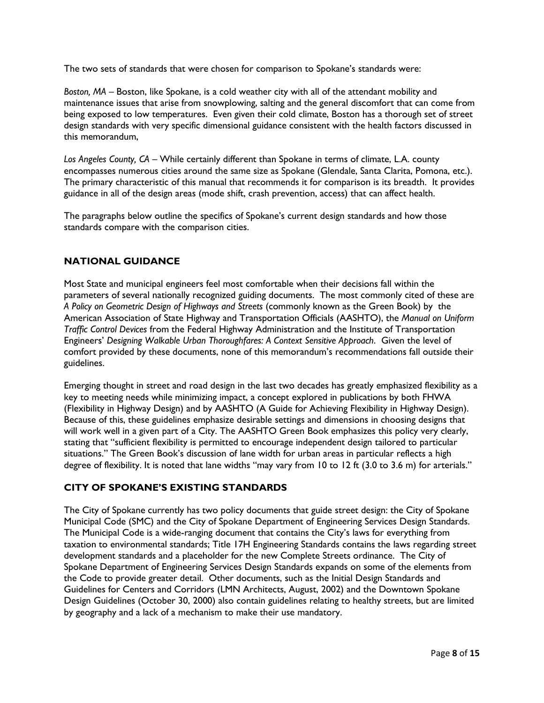The two sets of standards that were chosen for comparison to Spokane's standards were:

*Boston, MA* – Boston, like Spokane, is a cold weather city with all of the attendant mobility and maintenance issues that arise from snowplowing, salting and the general discomfort that can come from being exposed to low temperatures. Even given their cold climate, Boston has a thorough set of street design standards with very specific dimensional guidance consistent with the health factors discussed in this memorandum,

*Los Angeles County, CA* – While certainly different than Spokane in terms of climate, L.A. county encompasses numerous cities around the same size as Spokane (Glendale, Santa Clarita, Pomona, etc.). The primary characteristic of this manual that recommends it for comparison is its breadth. It provides guidance in all of the design areas (mode shift, crash prevention, access) that can affect health.

The paragraphs below outline the specifics of Spokane's current design standards and how those standards compare with the comparison cities.

# **NATIONAL GUIDANCE**

Most State and municipal engineers feel most comfortable when their decisions fall within the parameters of several nationally recognized guiding documents. The most commonly cited of these are *A Policy on Geometric Design of Highways and Streets* (commonly known as the Green Book) by the American Association of State Highway and Transportation Officials (AASHTO), the *Manual on Uniform Traffic Control Devices* from the Federal Highway Administration and the Institute of Transportation Engineers' *Designing Walkable Urban Thoroughfares: A Context Sensitive Approach*. Given the level of comfort provided by these documents, none of this memorandum's recommendations fall outside their guidelines.

<span id="page-7-0"></span>Emerging thought in street and road design in the last two decades has greatly emphasized flexibility as a key to meeting needs while minimizing impact, a concept explored in publications by both FHWA (Flexibility in Highway Design) and by AASHTO (A Guide for Achieving Flexibility in Highway Design). Because of this, these guidelines emphasize desirable settings and dimensions in choosing designs that will work well in a given part of a City. The AASHTO Green Book emphasizes this policy very clearly, stating that "sufficient flexibility is permitted to encourage independent design tailored to particular situations." The Green Book's discussion of lane width for urban areas in particular reflects a high degree of flexibility. It is noted that lane widths "may vary from 10 to 12 ft (3.0 to 3.6 m) for arterials."

# <span id="page-7-4"></span><span id="page-7-3"></span><span id="page-7-2"></span><span id="page-7-1"></span>**CITY OF SPOKANE'S EXISTING STANDARDS**

The City of Spokane currently has two policy documents that guide street design: the City of Spokane Municipal Code (SMC) and the City of Spokane Department of Engineering Services Design Standards. The Municipal Code is a wide-ranging document that contains the City's laws for everything from taxation to environmental standards; Title 17H Engineering Standards contains the laws regarding street development standards and a placeholder for the new Complete Streets ordinance. The City of Spokane Department of Engineering Services Design Standards expands on some of the elements from the Code to provide greater detail. Other documents, such as the Initial Design Standards and Guidelines for Centers and Corridors (LMN Architects, August, 2002) and the Downtown Spokane Design Guidelines (October 30, 2000) also contain guidelines relating to healthy streets, but are limited by geography and a lack of a mechanism to make their use mandatory.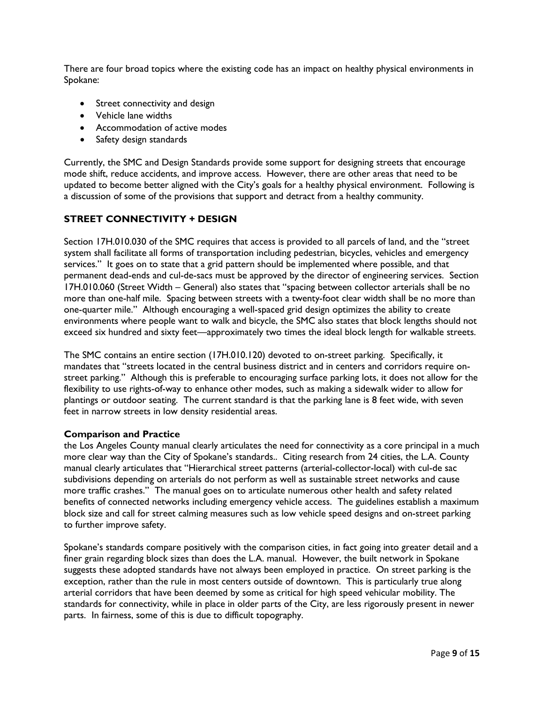There are four broad topics where the existing code has an impact on healthy physical environments in Spokane:

- Street connectivity and design
- Vehicle lane widths
- Accommodation of active modes
- Safety design standards

Currently, the SMC and Design Standards provide some support for designing streets that encourage mode shift, reduce accidents, and improve access. However, there are other areas that need to be updated to become better aligned with the City's goals for a healthy physical environment. Following is a discussion of some of the provisions that support and detract from a healthy community.

# **STREET CONNECTIVITY + DESIGN**

Section 17H.010.030 of the SMC requires that access is provided to all parcels of land, and the "street system shall facilitate all forms of transportation including pedestrian, bicycles, vehicles and emergency services." It goes on to state that a grid pattern should be implemented where possible, and that permanent dead-ends and cul-de-sacs must be approved by the director of engineering services. Section 17H.010.060 (Street Width – General) also states that "spacing between collector arterials shall be no more than one-half mile. Spacing between streets with a twenty-foot clear width shall be no more than one-quarter mile." Although encouraging a well-spaced grid design optimizes the ability to create environments where people want to walk and bicycle, the SMC also states that block lengths should not exceed six hundred and sixty feet—approximately two times the ideal block length for walkable streets.

The SMC contains an entire section (17H.010.120) devoted to on-street parking. Specifically, it mandates that "streets located in the central business district and in centers and corridors require onstreet parking." Although this is preferable to encouraging surface parking lots, it does not allow for the flexibility to use rights-of-way to enhance other modes, such as making a sidewalk wider to allow for plantings or outdoor seating. The current standard is that the parking lane is 8 feet wide, with seven feet in narrow streets in low density residential areas.

## **Comparison and Practice**

the Los Angeles County manual clearly articulates the need for connectivity as a core principal in a much more clear way than the City of Spokane's standards.. Citing research from 24 cities, the L.A. County manual clearly articulates that "Hierarchical street patterns (arterial-collector-local) with cul-de sac subdivisions depending on arterials do not perform as well as sustainable street networks and cause more traffic crashes." The manual goes on to articulate numerous other health and safety related benefits of connected networks including emergency vehicle access. The guidelines establish a maximum block size and call for street calming measures such as low vehicle speed designs and on-street parking to further improve safety.

Spokane's standards compare positively with the comparison cities, in fact going into greater detail and a finer grain regarding block sizes than does the L.A. manual. However, the built network in Spokane suggests these adopted standards have not always been employed in practice. On street parking is the exception, rather than the rule in most centers outside of downtown. This is particularly true along arterial corridors that have been deemed by some as critical for high speed vehicular mobility. The standards for connectivity, while in place in older parts of the City, are less rigorously present in newer parts. In fairness, some of this is due to difficult topography.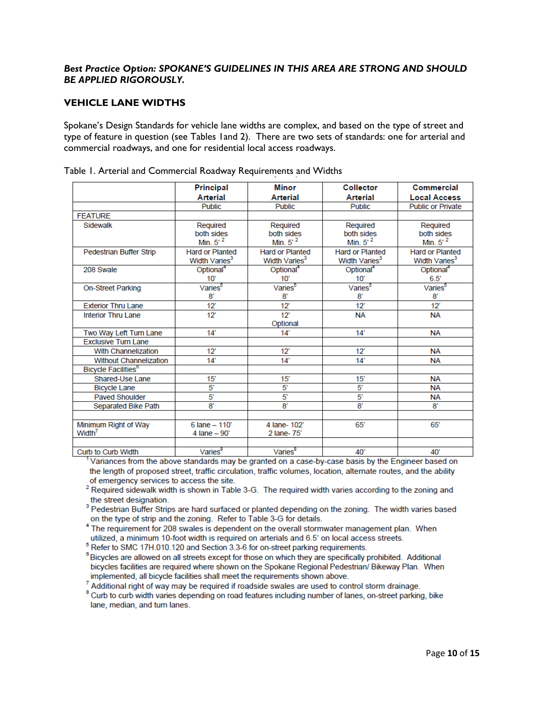# **Best Practice Option: SPOKANE'S GUIDELINES IN THIS AREA ARE STRONG AND SHOULD** *BE APPLIED RIGOROUSLY.*

# **VEHICLE LANE WIDTHS**

Spokane's Design Standards for vehicle lane widths are complex, and based on the type of street and type of feature in question (see Tables 1and 2). There are two sets of standards: one for arterial and commercial roadways, and one for residential local access roadways.

|                                        | <b>Principal</b>          | <b>Minor</b>              | <b>Collector</b>          | Commercial                |
|----------------------------------------|---------------------------|---------------------------|---------------------------|---------------------------|
|                                        | Arterial                  | <b>Arterial</b>           | <b>Arterial</b>           | <b>Local Access</b>       |
|                                        | <b>Public</b>             | <b>Public</b>             | Public                    | <b>Public or Private</b>  |
| <b>FEATURE</b>                         |                           |                           |                           |                           |
| Sidewalk                               | Required                  | Required                  | Required                  | Required                  |
|                                        | both sides                | both sides                | both sides                | both sides                |
|                                        | Min. $5^2$                | Min. $5^2$                | Min. $5^2$                | Min. $5^2$                |
| Pedestrian Buffer Strip                | <b>Hard or Planted</b>    | <b>Hard or Planted</b>    | <b>Hard or Planted</b>    | <b>Hard or Planted</b>    |
|                                        | Width Varies <sup>3</sup> | Width Varies <sup>3</sup> | Width Varies <sup>3</sup> | Width Varies <sup>3</sup> |
| 208 Swale                              | Optional <sup>4</sup>     | Optional <sup>4</sup>     | Optional <sup>4</sup>     | Optional <sup>4</sup>     |
|                                        | 10'                       | 10'                       | 10'                       | 6.5                       |
| <b>On-Street Parking</b>               | Varies <sup>5</sup>       | Varies <sup>5</sup>       | Varies <sup>5</sup>       | Varies <sup>5</sup>       |
|                                        | 8'                        | 8'                        | 8'                        | 8'                        |
| <b>Exterior Thru Lane</b>              | $12^{\circ}$              | $12^{\circ}$              | 12"                       | 12"                       |
| <b>Interior Thru Lane</b>              | 12"                       | 12"                       | <b>NA</b>                 | <b>NA</b>                 |
|                                        |                           | Optional                  |                           |                           |
| Two Way Left Turn Lane                 | 14'                       | $14^{\circ}$              | 14'                       | <b>NA</b>                 |
| <b>Exclusive Turn Lane</b>             |                           |                           |                           |                           |
| <b>With Channelization</b>             | 12"                       | 12"                       | 12"                       | <b>NA</b>                 |
| <b>Without Channelization</b>          | 14'                       | 14'                       | 14'                       | <b>NA</b>                 |
| <b>Bicycle Facilities</b> <sup>6</sup> |                           |                           |                           |                           |
| Shared-Use Lane                        | 15'                       | 15                        | $15^{\circ}$              | <b>NA</b>                 |
| <b>Bicycle Lane</b>                    | 5'                        | $5^{\circ}$               | 5'                        | <b>NA</b>                 |
| <b>Paved Shoulder</b>                  | $5^{\circ}$               | 5'                        | 5'                        | ΝA                        |
| <b>Separated Bike Path</b>             | 8'                        | 8,                        | 8'                        | 8'                        |
|                                        |                           |                           |                           |                           |
| Minimum Right of Way                   | $6$ lane $-110'$          | 4 lane- 102'              | 65'                       | 65'                       |
| Width <sup>7</sup>                     | 4 lane $-90'$             | 2 lane-75'                |                           |                           |
|                                        |                           |                           |                           |                           |
| Curb to Curb Width                     | Varies <sup>8</sup>       | Varies <sup>8</sup>       | 40'                       | 40'                       |

Table 1. Arterial and Commercial Roadway Requirements and Widths

Variances from the above standards may be granted on a case-by-case basis by the Engineer based on the length of proposed street, traffic circulation, traffic volumes, location, alternate routes, and the ability of emergency services to access the site.

<sup>2</sup> Required sidewalk width is shown in Table 3-G. The required width varies according to the zoning and the street designation.

<sup>3</sup> Pedestrian Buffer Strips are hard surfaced or planted depending on the zoning. The width varies based on the type of strip and the zoning. Refer to Table 3-G for details.

<sup>4</sup> The requirement for 208 swales is dependent on the overall stormwater management plan. When utilized, a minimum 10-foot width is required on arterials and 6.5' on local access streets.

<sup>5</sup> Refer to SMC 17H.010.120 and Section 3.3-6 for on-street parking requirements.

<sup>6</sup> Bicycles are allowed on all streets except for those on which they are specifically prohibited. Additional bicycles facilities are required where shown on the Spokane Regional Pedestrian/ Bikeway Plan. When implemented, all bicycle facilities shall meet the requirements shown above.

 $7$  Additional right of way may be required if roadside swales are used to control storm drainage.

<sup>8</sup> Curb to curb width varies depending on road features including number of lanes, on-street parking, bike lane, median, and turn lanes.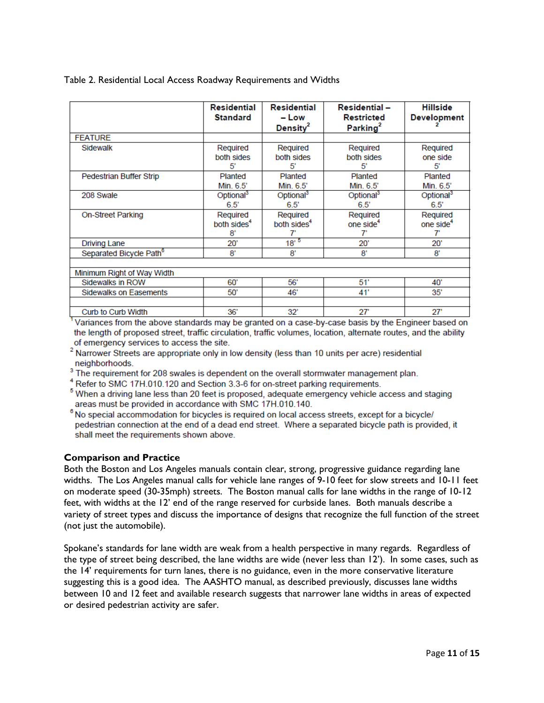| Table 2. Residential Local Access Roadway Requirements and Widths |  |  |  |  |  |  |
|-------------------------------------------------------------------|--|--|--|--|--|--|
|-------------------------------------------------------------------|--|--|--|--|--|--|

|                                     | <b>Residential</b><br><b>Standard</b>     | Residential<br>– Low<br>Density $^2$ | <b>Residential -</b><br><b>Restricted</b><br>Parking <sup>2</sup> | <b>Hillside</b><br><b>Development</b>   |  |  |  |
|-------------------------------------|-------------------------------------------|--------------------------------------|-------------------------------------------------------------------|-----------------------------------------|--|--|--|
| <b>FEATURE</b>                      |                                           |                                      |                                                                   |                                         |  |  |  |
| Sidewalk                            | Required<br>both sides<br>5               | Required<br>both sides<br>51         | Required<br>both sides<br>51                                      | Required<br>one side<br>5               |  |  |  |
| Pedestrian Buffer Strip             | Planted<br>Min. 6.5'                      | Planted<br>Min. 6.5'                 | Planted<br>Min. 6.5'                                              | Planted<br>Min. 6.5'                    |  |  |  |
| 208 Swale                           | Optional <sup>3</sup><br>$6.5^\circ$      | Optional <sup>3</sup><br>6.5'        | Optional <sup>3</sup><br>6.5'                                     | Optional <sup>3</sup><br>6.5'           |  |  |  |
| <b>On-Street Parking</b>            | Required<br>both sides <sup>4</sup><br>8' | Required<br>both sides <sup>4</sup>  | Required<br>one side <sup>4</sup><br>7'                           | Required<br>one side <sup>4</sup><br>7' |  |  |  |
| <b>Driving Lane</b>                 | 20'                                       | $18^{,5}$                            | 20'                                                               | 20'                                     |  |  |  |
| Separated Bicycle Path <sup>6</sup> | 8,                                        | 8'                                   | 8'                                                                | 8'                                      |  |  |  |
| Minimum Right of Way Width          |                                           |                                      |                                                                   |                                         |  |  |  |
| Sidewalks in ROW                    | 60'                                       | 56'                                  | 51'                                                               | 40'                                     |  |  |  |
| Sidewalks on Easements              | 50'                                       | 46'                                  | 41'                                                               | 35'                                     |  |  |  |
| Curb to Curb Width                  | 36'                                       | 32'                                  | $27^{\circ}$                                                      | $27^{\circ}$                            |  |  |  |

Variances from the above standards may be granted on a case-by-case basis by the Engineer based on the length of proposed street, traffic circulation, traffic volumes, location, alternate routes, and the ability of emergency services to access the site.

- <sup>2</sup> Narrower Streets are appropriate only in low density (less than 10 units per acre) residential neighborhoods.
- <sup>3</sup> The requirement for 208 swales is dependent on the overall stormwater management plan.
- <sup>4</sup> Refer to SMC 17H.010.120 and Section 3.3-6 for on-street parking requirements.
- <sup>5</sup> When a driving lane less than 20 feet is proposed, adequate emergency vehicle access and staging areas must be provided in accordance with SMC 17H.010.140.
- $8$  No special accommodation for bicycles is required on local access streets, except for a bicycle/ pedestrian connection at the end of a dead end street. Where a separated bicycle path is provided, it shall meet the requirements shown above.

## **Comparison and Practice**

Both the Boston and Los Angeles manuals contain clear, strong, progressive guidance regarding lane widths. The Los Angeles manual calls for vehicle lane ranges of 9-10 feet for slow streets and 10-11 feet on moderate speed (30-35mph) streets. The Boston manual calls for lane widths in the range of 10-12 feet, with widths at the 12' end of the range reserved for curbside lanes. Both manuals describe a variety of street types and discuss the importance of designs that recognize the full function of the street (not just the automobile).

Spokane's standards for lane width are weak from a health perspective in many regards. Regardless of the type of street being described, the lane widths are wide (never less than 12'). In some cases, such as the 14' requirements for turn lanes, there is no guidance, even in the more conservative literature suggesting this is a good idea. The AASHTO manual, as described previously, discusses lane widths between 10 and 12 feet and available research suggests that narrower lane widths in areas of expected or desired pedestrian activity are safer.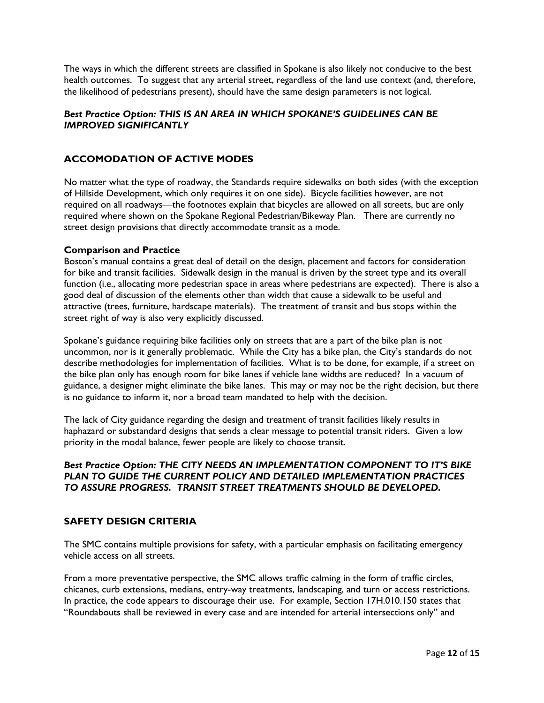The ways in which the different streets are classified in Spokane is also likely not conducive to the best health outcomes. To suggest that any arterial street, regardless of the land use context (and, therefore, the likelihood of pedestrians present), should have the same design parameters is not logical.

# *Best Practice Option: THIS IS AN AREA IN WHICH SPOKANE'S GUIDELINES CAN BE IMPROVED SIGNIFICANTLY*

# **ACCOMODATION OF ACTIVE MODES**

No matter what the type of roadway, the Standards require sidewalks on both sides (with the exception of Hillside Development, which only requires it on one side). Bicycle facilities however, are not required on all roadways—the footnotes explain that bicycles are allowed on all streets, but are only required where shown on the Spokane Regional Pedestrian/Bikeway Plan. There are currently no street design provisions that directly accommodate transit as a mode.

## **Comparison and Practice**

Boston's manual contains a great deal of detail on the design, placement and factors for consideration for bike and transit facilities. Sidewalk design in the manual is driven by the street type and its overall function (i.e., allocating more pedestrian space in areas where pedestrians are expected). There is also a good deal of discussion of the elements other than width that cause a sidewalk to be useful and attractive (trees, furniture, hardscape materials). The treatment of transit and bus stops within the street right of way is also very explicitly discussed.

Spokane's guidance requiring bike facilities only on streets that are a part of the bike plan is not uncommon, nor is it generally problematic. While the City has a bike plan, the City's standards do not describe methodologies for implementation of facilities. What is to be done, for example, if a street on the bike plan only has enough room for bike lanes if vehicle lane widths are reduced? In a vacuum of guidance, a designer might eliminate the bike lanes. This may or may not be the right decision, but there is no guidance to inform it, nor a broad team mandated to help with the decision.

The lack of City guidance regarding the design and treatment of transit facilities likely results in haphazard or substandard designs that sends a clear message to potential transit riders. Given a low priority in the modal balance, fewer people are likely to choose transit.

# *Best Practice Option: THE CITY NEEDS AN IMPLEMENTATION COMPONENT TO IT'S BIKE PLAN TO GUIDE THE CURRENT POLICY AND DETAILED IMPLEMENTATION PRACTICES TO ASSURE PROGRESS. TRANSIT STREET TREATMENTS SHOULD BE DEVELOPED.*

## **SAFETY DESIGN CRITERIA**

The SMC contains multiple provisions for safety, with a particular emphasis on facilitating emergency vehicle access on all streets.

From a more preventative perspective, the SMC allows traffic calming in the form of traffic circles, chicanes, curb extensions, medians, entry-way treatments, landscaping, and turn or access restrictions. In practice, the code appears to discourage their use. For example, Section 17H.010.150 states that "Roundabouts shall be reviewed in every case and are intended for arterial intersections only" and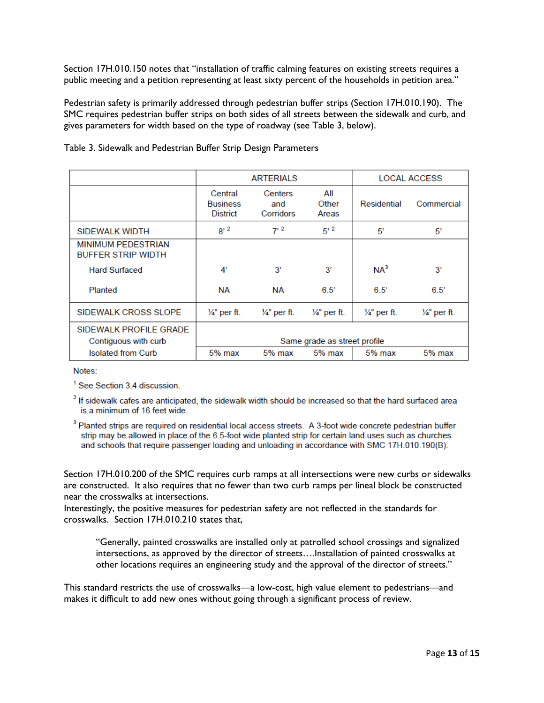Section 17H.010.150 notes that "installation of traffic calming features on existing streets requires a public meeting and a petition representing at least sixty percent of the households in petition area."

Pedestrian safety is primarily addressed through pedestrian buffer strips (Section 17H.010.190). The SMC requires pedestrian buffer strips on both sides of all streets between the sidewalk and curb, and gives parameters for width based on the type of roadway (see Table 3, below).

|                                                        | <b>ARTERIALS</b>                              |                             |                           | <b>LOCAL ACCESS</b>   |                         |
|--------------------------------------------------------|-----------------------------------------------|-----------------------------|---------------------------|-----------------------|-------------------------|
|                                                        | Central<br><b>Business</b><br><b>District</b> | Centers<br>and<br>Corridors | All<br>Other<br>Areas     | Residential           | Commercial              |
| SIDEWALK WIDTH                                         | $8'$ <sup>2</sup>                             | $7^{2}$                     | $5^{\prime}$ <sup>2</sup> | 5'                    | 5'                      |
| <b>MINIMUM PEDESTRIAN</b><br><b>BUFFER STRIP WIDTH</b> |                                               |                             |                           |                       |                         |
| <b>Hard Surfaced</b>                                   | 4'                                            | 3'                          | 3'                        | NA <sup>3</sup>       | 3'                      |
| Planted                                                | NА                                            | <b>NA</b>                   | 6.5'                      | 6.5'                  | 6.5'                    |
| SIDEWALK CROSS SLOPE                                   | $\frac{1}{4}$ " per ft.                       | $\frac{1}{4}$ per ft.       | $\frac{1}{4}$ per ft.     | $\frac{1}{4}$ per ft. | $\frac{1}{4}$ " per ft. |
| SIDEWALK PROFILE GRADE<br>Contiguous with curb         | Same grade as street profile                  |                             |                           |                       |                         |
| <b>Isolated from Curb</b>                              | 5% max                                        | $5%$ max                    | $5%$ max                  | $5%$ max              | $5%$ max                |

#### Table 3. Sidewalk and Pedestrian Buffer Strip Design Parameters

Notes:

<sup>1</sup> See Section 3.4 discussion.

<sup>2</sup> If sidewalk cafes are anticipated, the sidewalk width should be increased so that the hard surfaced area is a minimum of 16 feet wide.

<sup>3</sup> Planted strips are required on residential local access streets. A 3-foot wide concrete pedestrian buffer strip may be allowed in place of the 6.5-foot wide planted strip for certain land uses such as churches and schools that require passenger loading and unloading in accordance with SMC 17H.010.190(B).

Section 17H.010.200 of the SMC requires curb ramps at all intersections were new curbs or sidewalks are constructed. It also requires that no fewer than two curb ramps per lineal block be constructed near the crosswalks at intersections.

Interestingly, the positive measures for pedestrian safety are not reflected in the standards for crosswalks. Section 17H.010.210 states that,

"Generally, painted crosswalks are installed only at patrolled school crossings and signalized intersections, as approved by the director of streets….Installation of painted crosswalks at other locations requires an engineering study and the approval of the director of streets."

This standard restricts the use of crosswalks—a low-cost, high value element to pedestrians—and makes it difficult to add new ones without going through a significant process of review.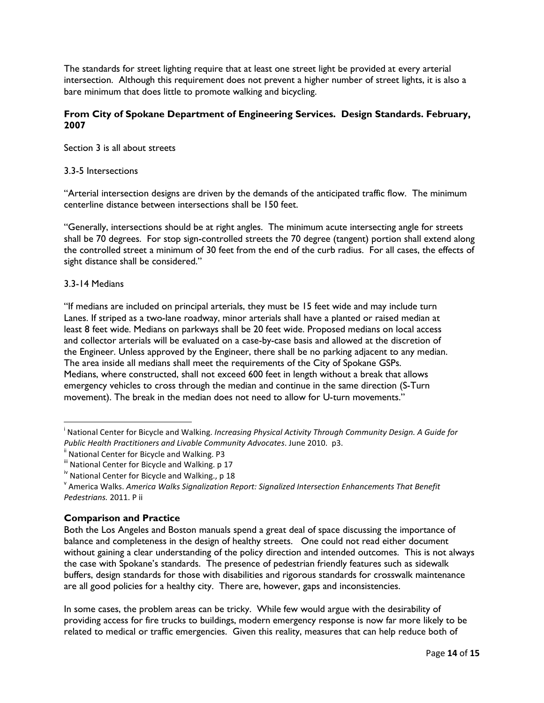The standards for street lighting require that at least one street light be provided at every arterial intersection. Although this requirement does not prevent a higher number of street lights, it is also a bare minimum that does little to promote walking and bicycling.

# **From City of Spokane Department of Engineering Services. Design Standards. February, 2007**

Section 3 is all about streets

## 3.3-5 Intersections

"Arterial intersection designs are driven by the demands of the anticipated traffic flow. The minimum centerline distance between intersections shall be 150 feet.

"Generally, intersections should be at right angles. The minimum acute intersecting angle for streets shall be 70 degrees. For stop sign-controlled streets the 70 degree (tangent) portion shall extend along the controlled street a minimum of 30 feet from the end of the curb radius. For all cases, the effects of sight distance shall be considered."

#### 3.3-14 Medians

"If medians are included on principal arterials, they must be 15 feet wide and may include turn Lanes. If striped as a two-lane roadway, minor arterials shall have a planted or raised median at least 8 feet wide. Medians on parkways shall be 20 feet wide. Proposed medians on local access and collector arterials will be evaluated on a case-by-case basis and allowed at the discretion of the Engineer. Unless approved by the Engineer, there shall be no parking adjacent to any median. The area inside all medians shall meet the requirements of the City of Spokane GSPs. Medians, where constructed, shall not exceed 600 feet in length without a break that allows emergency vehicles to cross through the median and continue in the same direction (S-Turn movement). The break in the median does not need to allow for U-turn movements."

## **Comparison and Practice**

Both the Los Angeles and Boston manuals spend a great deal of space discussing the importance of balance and completeness in the design of healthy streets. One could not read either document without gaining a clear understanding of the policy direction and intended outcomes. This is not always the case with Spokane's standards. The presence of pedestrian friendly features such as sidewalk buffers, design standards for those with disabilities and rigorous standards for crosswalk maintenance are all good policies for a healthy city. There are, however, gaps and inconsistencies.

In some cases, the problem areas can be tricky. While few would argue with the desirability of providing access for fire trucks to buildings, modern emergency response is now far more likely to be related to medical or traffic emergencies. Given this reality, measures that can help reduce both of

i National Center for Bicycle and Walking. *Increasing Physical Activity Through Community Design. A Guide for Public Health Practitioners and Livable Community Advocates. June 2010.* p3.<br><sup>ii</sup> National Center for Bicycle and Walking. P3

iii National Center for Bicycle and Walking. p 17

<sup>&</sup>lt;sup>iv</sup> National Center for Bicycle and Walking., p 18

<sup>v</sup> America Walks. *America Walks Signalization Report: Signalized Intersection Enhancements That Benefit Pedestrians.* 2011. P ii